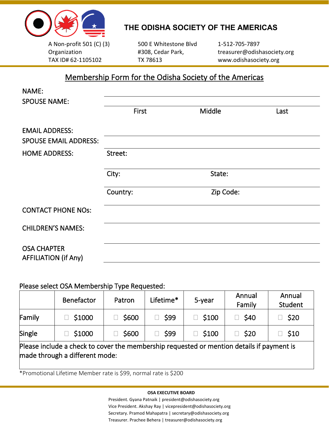

l

# **THE ODISHA SOCIETY OF THE AMERICAS**

A Non-profit 501 (C) (3) Organization TAX ID# 62-1105102

500 E Whitestone Blvd #308, Cedar Park, TX 78613

1-512-705-7897 treasurer@odishasociety.org www.odishasociety.org

## Membership Form for the Odisha Society of the Americas

| NAME:                                             |          |           |      |
|---------------------------------------------------|----------|-----------|------|
| <b>SPOUSE NAME:</b>                               |          |           |      |
|                                                   | First    | Middle    | Last |
| <b>EMAIL ADDRESS:</b>                             |          |           |      |
| <b>SPOUSE EMAIL ADDRESS:</b>                      |          |           |      |
| <b>HOME ADDRESS:</b>                              | Street:  |           |      |
|                                                   | City:    | State:    |      |
|                                                   | Country: | Zip Code: |      |
| <b>CONTACT PHONE NOS:</b>                         |          |           |      |
| <b>CHILDREN'S NAMES:</b>                          |          |           |      |
| <b>OSA CHAPTER</b><br><b>AFFILIATION (if Any)</b> |          |           |      |

### Please select OSA Membership Type Requested:

|                                                                                                                             | Benefactor | Patron | Lifetime* | 5-year | Annual<br>Family | Annual<br>Student |  |  |
|-----------------------------------------------------------------------------------------------------------------------------|------------|--------|-----------|--------|------------------|-------------------|--|--|
| Family                                                                                                                      | \$1000     | \$600  | \$99      | \$100  | \$40             | \$20              |  |  |
| Single                                                                                                                      | \$1000     | \$600  | \$99      | \$100  | \$20             | $\Box$ \$10       |  |  |
| Please include a check to cover the membership requested or mention details if payment is<br>made through a different mode: |            |        |           |        |                  |                   |  |  |

\*Promotional Lifetime Member rate is \$99, normal rate is \$200

#### **OSA EXECUTIVE BOARD**

President. Gyana Patnaik | president@odishasociety.org Vice President. Akshay Ray | vicepresident@odishasociety.org Secretary. Pramod Mahapatra | secretary@odishasociety.org Treasurer. Prachee Behera | treasurer@odishasociety.org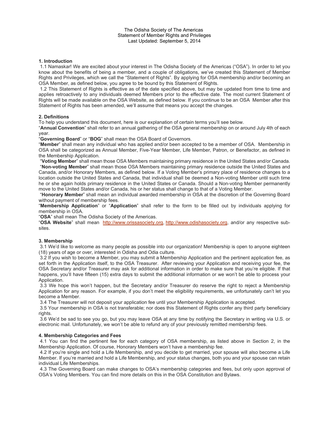#### The Odisha Society of The Americas Statement of Member Rights and Privileges Last Updated: September 5, 2014

#### **1. Introduction**

1.1 Namaskar! We are excited about your interest in The Odisha Society of the Americas ("OSA"). In order to let you know about the benefits of being a member, and a couple of obligations, we've created this Statement of Member Rights and Privileges, which we call the "Statement of Rights". By applying for OSA membership and/or becoming an OSA Member, as defined below, you agree to be bound by this Statement of Rights.

1.2 This Statement of Rights is effective as of the date specified above, but may be updated from time to time and applies retroactively to any individuals deemed Members prior to the effective date. The most current Statement of Rights will be made available on the OSA Website, as defined below. If you continue to be an OSA Member after this Statement of Rights has been amended, we'll assume that means you accept the changes.

#### **2. Definitions**

To help you understand this document, here is our explanation of certain terms you'll see below.

"**Annual Convention**" shall refer to an annual gathering of the OSA general membership on or around July 4th of each year.

"**Governing Board**" or "**BOG**" shall mean the OSA Board of Governors.

"**Member**" shall mean any individual who has applied and/or been accepted to be a member of OSA. Membership in OSA shall be categorized as Annual Member, Five-Year Member, Life Member, Patron, or Benefactor, as defined in the Membership Application.

"**Voting Member**" shall mean those OSA Members maintaining primary residence in the United States and/or Canada. "**Non-voting Member**" shall mean those OSA Members maintaining primary residence outside the United States and Canada, and/or Honorary Members, as defined below. If a Voting Member's primary place of residence changes to a location outside the United States and Canada, that individual shall be deemed a Non-voting Member until such time he or she again holds primary residence in the United States or Canada. Should a Non-voting Member permanently move to the United States and/or Canada, his or her status shall change to that of a Voting Member.

"**Honorary Member**" shall mean an individual awarded membership in OSA at the discretion of the Governing Board without payment of membership fees.

"**Membership Application**" or "**Application**" shall refer to the form to be filled out by individuals applying for membership in OSA.

"**OSA**" shall mean The Odisha Society of the Americas.

"**OSA Website**" shall mean http://www.orissasociety.org, http://www.odishasociety.org, and/or any respective subsites.

#### **3. Membership**

3.1 We'd like to welcome as many people as possible into our organization! Membership is open to anyone eighteen (18) years of age or over, interested in Odisha and Odia culture.

3.2 If you wish to become a Member, you may submit a Membership Application and the pertinent application fee, as set forth in the Application itself, to the OSA Treasurer. After reviewing your Application and receiving your fee, the OSA Secretary and/or Treasurer may ask for additional information in order to make sure that you're eligible. If that happens, you'll have fifteen (15) extra days to submit the additional information or we won't be able to process your Application.

3.3 We hope this won't happen, but the Secretary and/or Treasurer do reserve the right to reject a Membership Application for any reason. For example, if you don't meet the eligibility requirements, we unfortunately can't let you become a Member.

3.4 The Treasurer will not deposit your application fee until your Membership Application is accepted.

3.5 Your membership in OSA is not transferable; nor does this Statement of Rights confer any third party beneficiary rights.

3.6 We'd be sad to see you go, but you may leave OSA at any time by notifying the Secretary in writing via U.S. or electronic mail. Unfortunately, we won't be able to refund any of your previously remitted membership fees.

#### **4. Membership Categories and Fees**

4.1 You can find the pertinent fee for each category of OSA membership, as listed above in Section 2, in the Membership Application. Of course, Honorary Members won't have a membership fee.

4.2 If you're single and hold a Life Membership, and you decide to get married, your spouse will also become a Life Member. If you're married and hold a Life Membership, and your status changes, both you and your spouse can retain individual Life Memberships.

4.3 The Governing Board can make changes to OSA's membership categories and fees, but only upon approval of OSA's Voting Members. You can find more details on this in the OSA Constitution and Bylaws.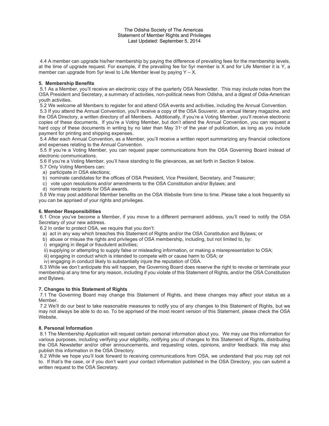#### The Odisha Society of The Americas Statement of Member Rights and Privileges Last Updated: September 5, 2014

4.4 A member can upgrade his/her membership by paying the difference of prevailing fees for the membership levels, at the time of upgrade request. For example, if the prevailing fee for 5yr member is X and for Life Member it is Y, a member can upgrade from 5yr level to Life Member level by paying  $Y - X$ .

#### **5. Membership Benefits**

5.1 As a Member, you'll receive an electronic copy of the quarterly OSA Newsletter. This may include notes from the OSA President and Secretary, a summary of activities, non-political news from Odisha, and a digest of Odia-American youth activities.

5.2 We welcome all Members to register for and attend OSA events and activities, including the Annual Convention.

5.3 If you attend the Annual Convention, you'll receive a copy of the OSA Souvenir, an annual literary magazine, and the OSA Directory, a written directory of all Members. Additionally, if you're a Voting Member, you'll receive electronic copies of these documents. If you're a Voting Member, but don't attend the Annual Convention, you can request a hard copy of these documents in writing by no later than May  $31$ <sup>\*</sup> of the year of publication, as long as you include payment for printing and shipping expenses.

5.4 After each Annual Convention, as a Member, you'll receive a written report summarizing any financial collections and expenses relating to the Annual Convention.

5.5 If you're a Voting Member, you can request paper communications from the OSA Governing Board instead of electronic communications.

5.6 If you're a Voting Member, you'll have standing to file grievances, as set forth in Section 9 below.

5.7 Only Voting Members can:

- a) participate in OSA elections;
- b) nominate candidates for the offices of OSA President, Vice President, Secretary, and Treasurer;
- c) vote upon resolutions and/or amendments to the OSA Constitution and/or Bylaws; and
- d) nominate recipients for OSA awards.

5.8 We may post additional Member benefits on the OSA Website from time to time. Please take a look frequently so you can be apprised of your rights and privileges.

#### **6. Member Responsibilities**

6.1 Once you've become a Member, if you move to a different permanent address, you'll need to notify the OSA Secretary of your new address.

- 6.2 In order to protect OSA, we require that you don't:
- a) act in any way which breaches this Statement of Rights and/or the OSA Constitution and Bylaws; or
- b) abuse or misuse the rights and privileges of OSA membership, including, but not limited to, by:
- i) engaging in illegal or fraudulent activities;
- ii) supplying or attempting to supply false or misleading information, or making a misrepresentation to OSA;
- iii) engaging in conduct which is intended to compete with or cause harm to OSA; or
- iv) engaging in conduct likely to substantially injure the reputation of OSA.

6.3 While we don't anticipate this will happen, the Governing Board does reserve the right to revoke or terminate your membership at any time for any reason, including if you violate of this Statement of Rights, and/or the OSA Constitution and Bylaws.

#### **7. Changes to this Statement of Rights**

7.1 The Governing Board may change this Statement of Rights, and these changes may affect your status as a Member.

7.2 We'll do our best to take reasonable measures to notify you of any changes to this Statement of Rights, but we may not always be able to do so. To be apprised of the most recent version of this Statement, please check the OSA Website.

#### **8. Personal Information**

8.1 The Membership Application will request certain personal information about you. We may use this information for various purposes, including verifying your eligibility, notifying you of changes to this Statement of Rights, distributing the OSA Newsletter and/or other announcements, and requesting votes, opinions, and/or feedback. We may also publish this information in the OSA Directory.

8.2 While we hope you'll look forward to receiving communications from OSA, we understand that you may opt not to. If that's the case, or if you don't want your contact information published in the OSA Directory, you can submit a written request to the OSA Secretary.